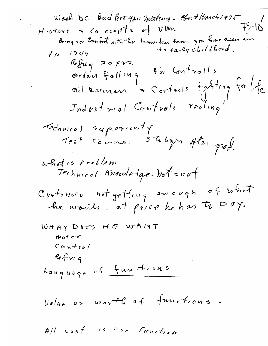$All \cos f$  is For Function

 $\mathcal{L}_{\mathcal{L}}$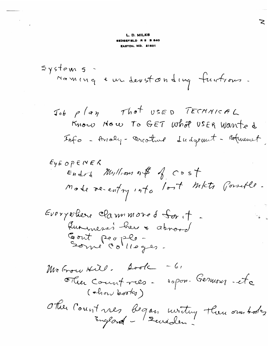## L. D. MILES SEDGEFIELD R 5 B 840 **EASTON, MD. 21601**

 $system$  5 -Maming & un deverton ding functions.

Ν.

$$
ExE_{N} = 0
$$

 $-61$ McGrow Hill. Sook sopon-Germons-éte The Countries - $($  chow books) Other Count nes began uniting them our body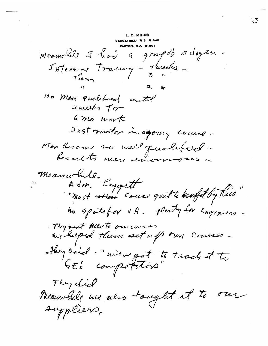L. D. MILES Meanwhile I had a groupes adogen Intension trainy - Aurela -Them No Man Quolibed until  $z$  weeks  $\tau$  $6\,$  mo work Inst motor in agoing course -Mon became se mell quolifiel-Meanwhile,<br>Adm. Leggett<br>"Must attou Couse quit te hought by this They sent Meats our counter they said "wiewegot to teach it to They Lich Meanwhile me also tought it to our suppliers.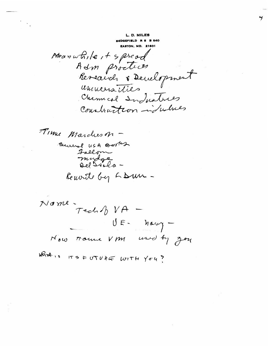L. D. MILES

Meanwhile it spread Adm proctices Research & Development uninversities Chemical Industries Construction indulnes

Time Marcheson -Several USA Berta Fallom mudge<br>Del Sola-Remonte by LDun -

Nome - TechN VA - $U E$ - havy -Now trouve VM used by Joy

WAR IS ITS FUTURE WITH YOU ?